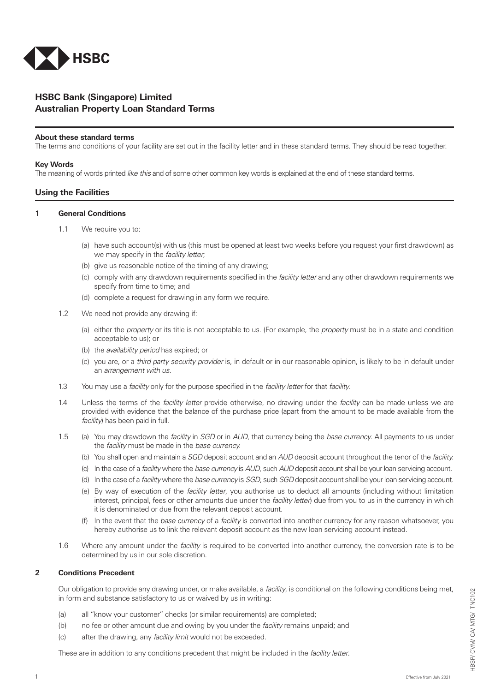

# **HSBC Bank (Singapore) Limited Australian Property Loan Standard Terms**

#### **About these standard terms**

The terms and conditions of your facility are set out in the facility letter and in these standard terms. They should be read together.

#### **Key Words**

The meaning of words printed *like this* and of some other common key words is explained at the end of these standard terms.

### **Using the Facilities**

#### **1 General Conditions**

- 1.1 We require you to:
	- (a) have such account(s) with us (this must be opened at least two weeks before you request your first drawdown) as we may specify in the *facility letter*;
	- (b) give us reasonable notice of the timing of any drawing;
	- (c) comply with any drawdown requirements specified in the *facility letter* and any other drawdown requirements we specify from time to time; and
	- (d) complete a request for drawing in any form we require.
- 1.2 We need not provide any drawing if:
	- (a) either the *property* or its title is not acceptable to us. (For example, the *property* must be in a state and condition acceptable to us); or
	- (b) the *availability period* has expired; or
	- (c) you are, or a *third party security provider* is, in default or in our reasonable opinion, is likely to be in default under an *arrangement with us*.
- 1.3 You may use a *facility* only for the purpose specified in the *facility letter* for that *facility*.
- 1.4 Unless the terms of the *facility letter* provide otherwise, no drawing under the *facility* can be made unless we are provided with evidence that the balance of the purchase price (apart from the amount to be made available from the *facility*) has been paid in full.
- 1.5 (a) You may drawdown the *facility* in *SGD* or in *AUD*, that currency being the *base currency*. All payments to us under the *facility* must be made in the *base currency.*
	- (b) You shall open and maintain a *SGD* deposit account and an *AUD* deposit account throughout the tenor of the *facility.*
	- (c) In the case of a *facility* where the *base currency* is *AUD*, such *AUD* deposit account shall be your loan servicing account.
	- (d) In the case of a *facility* where the *base currency* is *SGD*, such *SGD* deposit account shall be your loan servicing account.
	- (e) By way of execution of the *facility letter*, you authorise us to deduct all amounts (including without limitation interest, principal, fees or other amounts due under the *facility letter*) due from you to us in the currency in which it is denominated or due from the relevant deposit account.
	- (f) In the event that the *base currency* of a *facility* is converted into another currency for any reason whatsoever, you hereby authorise us to link the relevant deposit account as the new loan servicing account instead.
- 1.6 Where any amount under the *facility* is required to be converted into another currency, the conversion rate is to be determined by us in our sole discretion.

#### **2 Conditions Precedent**

Our obligation to provide any drawing under, or make available, a *facility*, is conditional on the following conditions being met, in form and substance satisfactory to us or waived by us in writing:

- (a) all "know your customer" checks (or similar requirements) are completed;
- (b) no fee or other amount due and owing by you under the *facility* remains unpaid; and
- (c) after the drawing, any *facility limit* would not be exceeded.

These are in addition to any conditions precedent that might be included in the *facility letter*.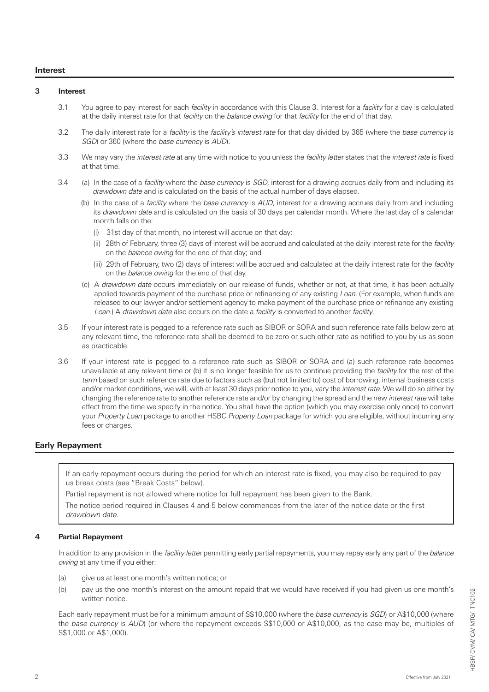#### **Interest**

## **3 Interest**

- 3.1 You agree to pay interest for each *facility* in accordance with this Clause 3. Interest for a *facility* for a day is calculated at the daily interest rate for that *facility* on the *balance owing* for that *facility* for the end of that day.
- 3.2 The daily interest rate for a *facility* is the *facility's interest rate* for that day divided by 365 (where the *base currency* is *SGD*) or 360 (where the *base currency* is *AUD*).
- 3.3 We may vary the *interest rate* at any time with notice to you unless the *facility letter* states that the *interest rate* is fixed at that time.
- 3.4 (a) In the case of a *facility* where the *base currency* is *SGD*, interest for a drawing accrues daily from and including its *drawdown date* and is calculated on the basis of the actual number of days elapsed.
	- (b) In the case of a *facility* where the *base currency* is *AUD*, interest for a drawing accrues daily from and including its *drawdown date* and is calculated on the basis of 30 days per calendar month. Where the last day of a calendar month falls on the:
		- (i) 31st day of that month, no interest will accrue on that day;
		- (ii) 28th of February, three (3) days of interest will be accrued and calculated at the daily interest rate for the *facility*  on the *balance owing* for the end of that day; and
		- (iii) 29th of February, two (2) days of interest will be accrued and calculated at the daily interest rate for the *facility*  on the *balance owing* for the end of that day.
	- (c) A *drawdown date* occurs immediately on our release of funds, whether or not, at that time, it has been actually applied towards payment of the purchase price or refinancing of any existing *Loan*. (For example, when funds are released to our lawyer and/or settlement agency to make payment of the purchase price or refinance any existing *Loan*.) A *drawdown date* also occurs on the date a *facility* is converted to another *facility*.
- 3.5 If your interest rate is pegged to a reference rate such as SIBOR or SORA and such reference rate falls below zero at any relevant time, the reference rate shall be deemed to be zero or such other rate as notified to you by us as soon as practicable.
- 3.6 If your interest rate is pegged to a reference rate such as SIBOR or SORA and (a) such reference rate becomes unavailable at any relevant time or (b) it is no longer feasible for us to continue providing the *facility* for the rest of the *term* based on such reference rate due to factors such as (but not limited to) cost of borrowing, internal business costs and/or market conditions, we will, with at least 30 days prior notice to you, vary the *interest rate*. We will do so either by changing the reference rate to another reference rate and/or by changing the spread and the new *interest rate* will take effect from the time we specify in the notice. You shall have the option (which you may exercise only once) to convert your *Property Loan* package to another HSBC *Property Loan* package for which you are eligible, without incurring any fees or charges.

## **Early Repayment**

If an early repayment occurs during the period for which an interest rate is fixed, you may also be required to pay us break costs (see "Break Costs" below).

Partial repayment is not allowed where notice for full repayment has been given to the Bank.

The notice period required in Clauses 4 and 5 below commences from the later of the notice date or the first *drawdown date*.

#### **4 Partial Repayment**

In addition to any provision in the *facility letter* permitting early partial repayments, you may repay early any part of the *balance owing* at any time if you either:

- (a) give us at least one month's written notice; or
- (b) pay us the one month's interest on the amount repaid that we would have received if you had given us one month's written notice.

Each early repayment must be for a minimum amount of S\$10,000 (where the *base currency* is *SGD*) or A\$10,000 (where the *base currency* is *AUD*) (or where the repayment exceeds S\$10,000 or A\$10,000, as the case may be, multiples of S\$1,000 or A\$1,000).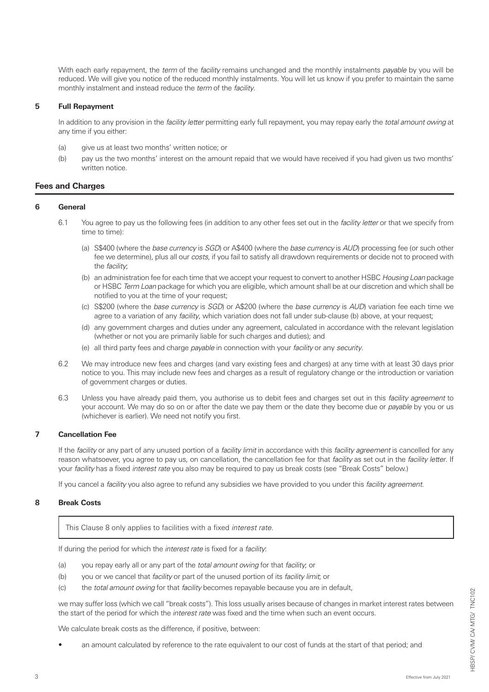With each early repayment, the *term* of the *facility* remains unchanged and the monthly instalments *payable* by you will be reduced. We will give you notice of the reduced monthly instalments. You will let us know if you prefer to maintain the same monthly instalment and instead reduce the *term* of the *facility*.

### **5 Full Repayment**

In addition to any provision in the *facility letter* permitting early full repayment, you may repay early the *total amount owing* at any time if you either:

- (a) give us at least two months' written notice; or
- (b) pay us the two months' interest on the amount repaid that we would have received if you had given us two months' written notice.

### **Fees and Charges**

### **6 General**

- 6.1 You agree to pay us the following fees (in addition to any other fees set out in the *facility letter* or that we specify from time to time):
	- (a) S\$400 (where the *base currency* is *SGD*) or A\$400 (where the *base currency* is *AUD*) processing fee (or such other fee we determine), plus all our *costs,* if you fail to satisfy all drawdown requirements or decide not to proceed with the *facility*;
	- (b) an administration fee for each time that we accept your request to convert to another HSBC *Housing Loan* package or HSBC *Term Loan* package for which you are eligible, which amount shall be at our discretion and which shall be notified to you at the time of your request;
	- (c) S\$200 (where the *base currency* is *SGD*) or A\$200 (where the *base currency* is *AUD*) variation fee each time we agree to a variation of any *facility*, which variation does not fall under sub-clause (b) above, at your request;
	- (d) any government charges and duties under any agreement, calculated in accordance with the relevant legislation (whether or not you are primarily liable for such charges and duties); and
	- (e) all third party fees and charge *payable* in connection with your *facility* or any *security*.
- 6.2 We may introduce new fees and charges (and vary existing fees and charges) at any time with at least 30 days prior notice to you. This may include new fees and charges as a result of regulatory change or the introduction or variation of government charges or duties.
- 6.3 Unless you have already paid them, you authorise us to debit fees and charges set out in this *facility agreement* to your account. We may do so on or after the date we pay them or the date they become due or *payable* by you or us (whichever is earlier). We need not notify you first.

### **7 Cancellation Fee**

If the *facility* or any part of any unused portion of a *facility limit* in accordance with this *facility agreement* is cancelled for any reason whatsoever, you agree to pay us, on cancellation, the cancellation fee for that *facility* as set out in the *facility letter*. If your *facility* has a fixed *interest rate* you also may be required to pay us break costs (see "Break Costs" below.)

If you cancel a *facility* you also agree to refund any subsidies we have provided to you under this *facility agreement*.

### **8 Break Costs**

This Clause 8 only applies to facilities with a fixed *interest rate*.

If during the period for which the *interest rate* is fixed for a *facility*:

- (a) you repay early all or any part of the *total amount owing* for that *facility*; or
- (b) you or we cancel that *facility* or part of the unused portion of its *facility limit*; or
- (c) the *total amount owing* for that *facility* becomes repayable because you are in default,

 we may suffer loss (which we call "break costs"). This loss usually arises because of changes in market interest rates between the start of the period for which the *interest rate* was fixed and the time when such an event occurs.

We calculate break costs as the difference, if positive, between:

• an amount calculated by reference to the rate equivalent to our cost of funds at the start of that period; and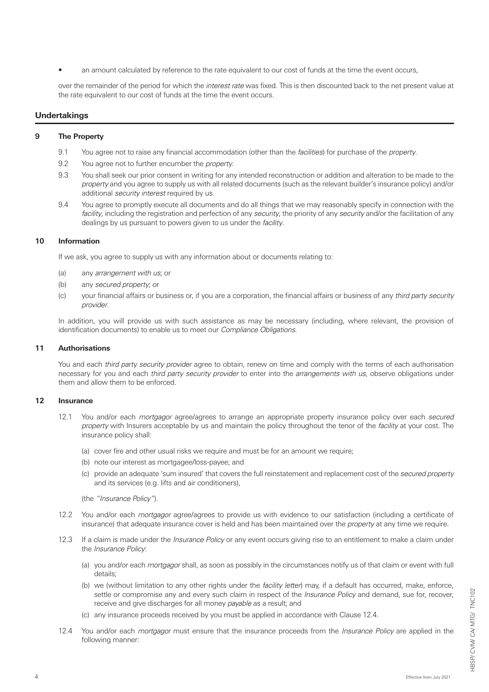• an amount calculated by reference to the rate equivalent to our cost of funds at the time the event occurs,

 over the remainder of the period for which the *interest rate* was fixed. This is then discounted back to the net present value at the rate equivalent to our cost of funds at the time the event occurs.

### **Undertakings**

### **9 The Property**

- 9.1 You agree not to raise any financial accommodation (other than the *facilities*) for purchase of the *property*.
- 9.2 You agree not to further encumber the *property*.
- 9.3 You shall seek our prior consent in writing for any intended reconstruction or addition and alteration to be made to the *property* and you agree to supply us with all related documents (such as the relevant builder's insurance policy) and/or additional *security interest* required by us.
- 9.4 You agree to promptly execute all documents and do all things that we may reasonably specify in connection with the *facility*, including the registration and perfection of any *security*, the priority of any *security* and/or the facilitation of any dealings by us pursuant to powers given to us under the *facility*.

#### **10 Information**

If we ask, you agree to supply us with any information about or documents relating to:

- (a) any *arrangement with us*; or
- (b) any *secured property*; or
- (c) your financial affairs or business or, if you are a corporation, the financial affairs or business of any *third party security provider*.

 In addition, you will provide us with such assistance as may be necessary (including, where relevant, the provision of identification documents) to enable us to meet our *Compliance Obligations*.

#### **11 Authorisations**

You and each *third party security provider* agree to obtain, renew on time and comply with the terms of each authorisation necessary for you and each *third party security provider* to enter into the *arrangements with us*, observe obligations under them and allow them to be enforced.

### **12 Insurance**

- 12.1 You and/or each *mortgagor* agree/agrees to arrange an appropriate property insurance policy over each *secured property* with Insurers acceptable by us and maintain the policy throughout the tenor of the *facility* at your cost. The insurance policy shall:
	- (a) cover fire and other usual risks we require and must be for an amount we require;
	- (b) note our interest as mortgagee/loss-payee; and
	- (c) provide an adequate 'sum insured' that covers the full reinstatement and replacement cost of the *secured property*  and its services (e.g. lifts and air conditioners),

(the *"Insurance Policy"*).

- 12.2 You and/or each *mortgagor* agree/agrees to provide us with evidence to our satisfaction (including a certificate of insurance) that adequate insurance cover is held and has been maintained over the *property* at any time we require.
- 12.3 If a claim is made under the *Insurance Policy* or any event occurs giving rise to an entitlement to make a claim under the *Insurance Policy*:
	- (a) you and/or each *mortgagor* shall, as soon as possibly in the circumstances notify us of that claim or event with full details;
	- (b) we (without limitation to any other rights under the *facility letter*) may, if a default has occurred, make, enforce, settle or compromise any and every such claim in respect of the *Insurance Policy* and demand, sue for, recover, receive and give discharges for all money *payable* as a result; and
	- (c) any insurance proceeds received by you must be applied in accordance with Clause 12.4.
- 12.4 You and/or each *mortgagor* must ensure that the insurance proceeds from the *Insurance Policy* are applied in the following manner: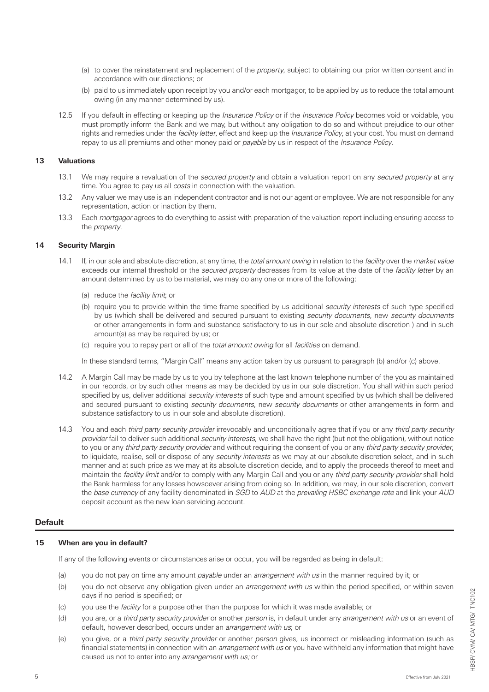- (a) to cover the reinstatement and replacement of the *property*, subject to obtaining our prior written consent and in accordance with our directions; or
- (b) paid to us immediately upon receipt by you and/or each mortgagor, to be applied by us to reduce the total amount owing (in any manner determined by us).
- 12.5 If you default in effecting or keeping up the *Insurance Policy* or if the *Insurance Policy* becomes void or voidable, you must promptly inform the Bank and we may, but without any obligation to do so and without prejudice to our other rights and remedies under the *facility letter*, effect and keep up the *Insurance Policy*, at your cost. You must on demand repay to us all premiums and other money paid or *payable* by us in respect of the *Insurance Policy*.

### **13 Valuations**

- 13.1 We may require a revaluation of the *secured property* and obtain a valuation report on any *secured property* at any time. You agree to pay us all *costs* in connection with the valuation.
- 13.2 Any valuer we may use is an independent contractor and is not our agent or employee. We are not responsible for any representation, action or inaction by them.
- 13.3 Each *mortgagor* agrees to do everything to assist with preparation of the valuation report including ensuring access to the *property*.

#### **14 Security Margin**

- 14.1 If, in our sole and absolute discretion, at any time, the *total amount owing* in relation to the *facility* over the *market value* exceeds our internal threshold or the *secured property* decreases from its value at the date of the *facility letter* by an amount determined by us to be material, we may do any one or more of the following:
	- (a) reduce the *facility limit*; or
	- (b) require you to provide within the time frame specified by us additional *security interests* of such type specified by us (which shall be delivered and secured pursuant to existing *security documents*, new *security documents*  or other arrangements in form and substance satisfactory to us in our sole and absolute discretion ) and in such amount(s) as may be required by us; or
	- (c) require you to repay part or all of the *total amount owing* for all *facilities* on demand.

In these standard terms, "Margin Call" means any action taken by us pursuant to paragraph (b) and/or (c) above.

- 14.2 A Margin Call may be made by us to you by telephone at the last known telephone number of the you as maintained in our records, or by such other means as may be decided by us in our sole discretion. You shall within such period specified by us, deliver additional *security interests* of such type and amount specified by us (which shall be delivered and secured pursuant to existing *security documents*, new *security documents* or other arrangements in form and substance satisfactory to us in our sole and absolute discretion).
- 14.3 You and each *third party security provider* irrevocably and unconditionally agree that if you or any *third party security provider* fail to deliver such additional *security interests*, we shall have the right (but not the obligation), without notice to you or any *third party security provider* and without requiring the consent of you or any *third party security provider*, to liquidate, realise, sell or dispose of any *security interests* as we may at our absolute discretion select, and in such manner and at such price as we may at its absolute discretion decide, and to apply the proceeds thereof to meet and maintain the *facility limit* and/or to comply with any Margin Call and you or any *third party security provider* shall hold the Bank harmless for any losses howsoever arising from doing so. In addition, we may, in our sole discretion, convert the *base currency* of any facility denominated in *SGD* to *AUD* at the *prevailing HSBC exchange rate* and link your *AUD*  deposit account as the new loan servicing account.

#### **Default**

### **15 When are you in default?**

If any of the following events or circumstances arise or occur, you will be regarded as being in default:

- (a) you do not pay on time any amount *payable* under an *arrangement with us* in the manner required by it; or
- (b) you do not observe any obligation given under an *arrangement with us* within the period specified, or within seven days if no period is specified; or
- (c) you use the *facility* for a purpose other than the purpose for which it was made available; or
- (d) you are, or a *third party security provider* or another *person* is, in default under any *arrangement with us* or an event of default, however described, occurs under an *arrangement with us*; or
- (e) you give, or a *third party security provider* or another *person* gives, us incorrect or misleading information (such as financial statements) in connection with an *arrangement with us* or you have withheld any information that might have caused us not to enter into any *arrangement with us;* or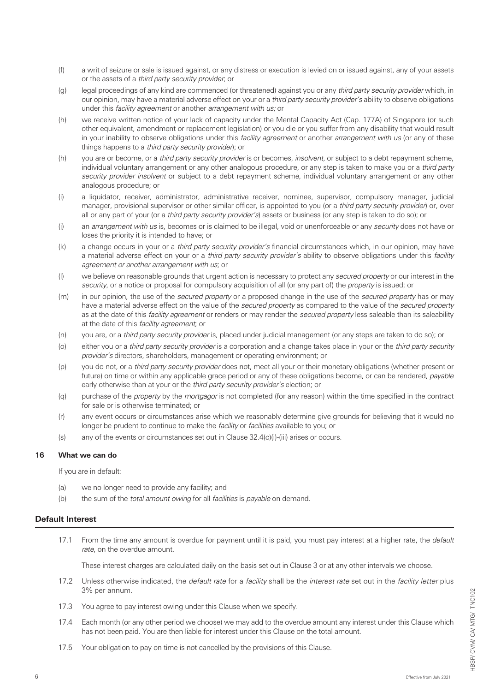- (f) a writ of seizure or sale is issued against, or any distress or execution is levied on or issued against, any of your assets or the assets of a *third party security provider*; or
- (g) legal proceedings of any kind are commenced (or threatened) against you or any *third party security provider* which, in our opinion, may have a material adverse effect on your or a *third party security provider's* ability to observe obligations under this *facility agreement* or another *arrangement with us;* or
- (h) we receive written notice of your lack of capacity under the Mental Capacity Act (Cap. 177A) of Singapore (or such other equivalent, amendment or replacement legislation) or you die or you suffer from any disability that would result in your inability to observe obligations under this *facility agreement* or another *arrangement with us* (or any of these things happens to a *third party security provider*); or
- (h) you are or become, or a *third party security provider* is or becomes, *insolvent,* or subject to a debt repayment scheme, individual voluntary arrangement or any other analogous procedure, or any step is taken to make you or a *third party security provider insolvent* or subject to a debt repayment scheme, individual voluntary arrangement or any other analogous procedure; or
- (i) a liquidator, receiver, administrator, administrative receiver, nominee, supervisor, compulsory manager, judicial manager, provisional supervisor or other similar officer, is appointed to you (or a *third party security provider*) or, over all or any part of your (or a *third party security provider's*) assets or business (or any step is taken to do so); or
- (j) an *arrangement with us* is, becomes or is claimed to be illegal, void or unenforceable or any *security* does not have or loses the priority it is intended to have; or
- (k) a change occurs in your or a *third party security provider's* financial circumstances which, in our opinion, may have a material adverse effect on your or a *third party security provider's* ability to observe obligations under this *facility agreement or another arrangement with us*; or
- (l) we believe on reasonable grounds that urgent action is necessary to protect any *secured property* or our interest in the *security*, or a notice or proposal for compulsory acquisition of all (or any part of) the *property* is issued; or
- (m) in our opinion, the use of the *secured property* or a proposed change in the use of the *secured property* has or may have a material adverse effect on the value of the *secured property* as compared to the value of the *secured property*  as at the date of this *facility agreement* or renders or may render the *secured property* less saleable than its saleability at the date of this *facility agreement*; or
- (n) you are, or a *third party security provider* is, placed under judicial management (or any steps are taken to do so); or
- (o) either you or a *third party security provider* is a corporation and a change takes place in your or the *third party security provider's* directors, shareholders, management or operating environment; or
- (p) you do not, or a *third party security provider* does not, meet all your or their monetary obligations (whether present or future) on time or within any applicable grace period or any of these obligations become, or can be rendered, *payable*  early otherwise than at your or the *third party security provider's* election; or
- (q) purchase of the *property* by the *mortgagor* is not completed (for any reason) within the time specified in the contract for sale or is otherwise terminated; or
- (r) any event occurs or circumstances arise which we reasonably determine give grounds for believing that it would no longer be prudent to continue to make the *facility* or *facilities* available to you; or
- (s) any of the events or circumstances set out in Clause 32.4(c)(i)-(iii) arises or occurs.

#### **16 What we can do**

If you are in default:

- (a) we no longer need to provide any facility; and
- (b) the sum of the *total amount owing* for all *facilities* is *payable* on demand.

#### **Default Interest**

17.1 From the time any amount is overdue for payment until it is paid, you must pay interest at a higher rate, the *default rate*, on the overdue amount.

These interest charges are calculated daily on the basis set out in Clause 3 or at any other intervals we choose.

- 17.2 Unless otherwise indicated, the *default rate* for a *facility* shall be the *interest rate* set out in the *facility letter* plus 3% per annum.
- 17.3 You agree to pay interest owing under this Clause when we specify.
- 17.4 Each month (or any other period we choose) we may add to the overdue amount any interest under this Clause which has not been paid. You are then liable for interest under this Clause on the total amount.
- 17.5 Your obligation to pay on time is not cancelled by the provisions of this Clause.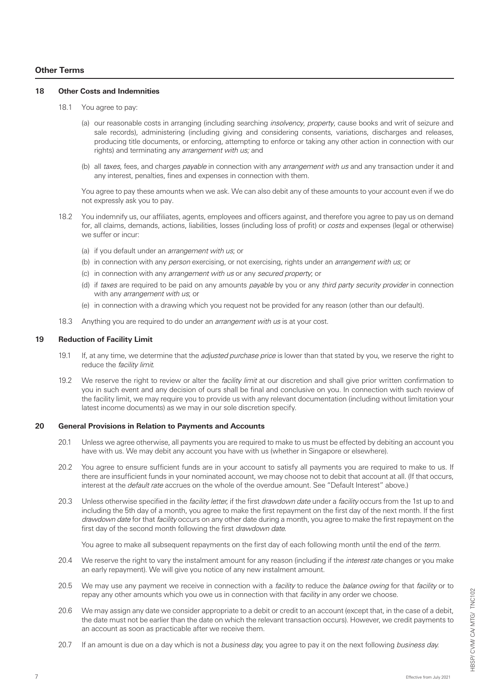## **Other Terms**

#### **18 Other Costs and Indemnities**

- 18.1 You agree to pay:
	- (a) our reasonable costs in arranging (including searching *insolvency, property*, cause books and writ of seizure and sale records), administering (including giving and considering consents, variations, discharges and releases, producing title documents, or enforcing, attempting to enforce or taking any other action in connection with our rights) and terminating any *arrangement with us;* and
	- (b) all *taxes*, fees, and charges *payable* in connection with any *arrangement with us* and any transaction under it and any interest, penalties, fines and expenses in connection with them.

 You agree to pay these amounts when we ask. We can also debit any of these amounts to your account even if we do not expressly ask you to pay.

- 18.2 You indemnify us, our affiliates, agents, employees and officers against, and therefore you agree to pay us on demand for, all claims, demands, actions, liabilities, losses (including loss of profit) or *costs* and expenses (legal or otherwise) we suffer or incur:
	- (a) if you default under an *arrangement with us*; or
	- (b) in connection with any *person* exercising, or not exercising, rights under an *arrangement with us*; or
	- (c) in connection with any *arrangement with us* or any *secured property*; or
	- (d) if *taxes* are required to be paid on any amounts *payable* by you or any *third party security provider* in connection with any *arrangement with us*; or
	- (e) in connection with a drawing which you request not be provided for any reason (other than our default).
- 18.3 Anything you are required to do under an *arrangement with us* is at your cost.

### **19 Reduction of Facility Limit**

- 19.1 If, at any time, we determine that the *adjusted purchase price* is lower than that stated by you, we reserve the right to reduce the *facility limit*.
- 19.2 We reserve the right to review or alter the *facility limit* at our discretion and shall give prior written confirmation to you in such event and any decision of ours shall be final and conclusive on you. In connection with such review of the facility limit, we may require you to provide us with any relevant documentation (including without limitation your latest income documents) as we may in our sole discretion specify.

#### **20 General Provisions in Relation to Payments and Accounts**

- 20.1 Unless we agree otherwise, all payments you are required to make to us must be effected by debiting an account you have with us. We may debit any account you have with us (whether in Singapore or elsewhere).
- 20.2 You agree to ensure sufficient funds are in your account to satisfy all payments you are required to make to us. If there are insufficient funds in your nominated account, we may choose not to debit that account at all. (If that occurs, interest at the *default rate* accrues on the whole of the overdue amount. See "Default Interest" above.)
- 20.3 Unless otherwise specified in the *facility letter*, if the first *drawdown date* under a *facility* occurs from the 1st up to and including the 5th day of a month, you agree to make the first repayment on the first day of the next month. If the first *drawdown date* for that *facility* occurs on any other date during a month, you agree to make the first repayment on the first day of the second month following the first *drawdown date*.

You agree to make all subsequent repayments on the first day of each following month until the end of the *term.*

- 20.4 We reserve the right to vary the instalment amount for any reason (including if the *interest rate* changes or you make an early repayment). We will give you notice of any new instalment amount.
- 20.5 We may use any payment we receive in connection with a *facility* to reduce the *balance owing* for that *facility* or to repay any other amounts which you owe us in connection with that *facility* in any order we choose.
- 20.6 We may assign any date we consider appropriate to a debit or credit to an account (except that, in the case of a debit, the date must not be earlier than the date on which the relevant transaction occurs). However, we credit payments to an account as soon as practicable after we receive them.
- 20.7 If an amount is due on a day which is not a *business day*, you agree to pay it on the next following *business day*.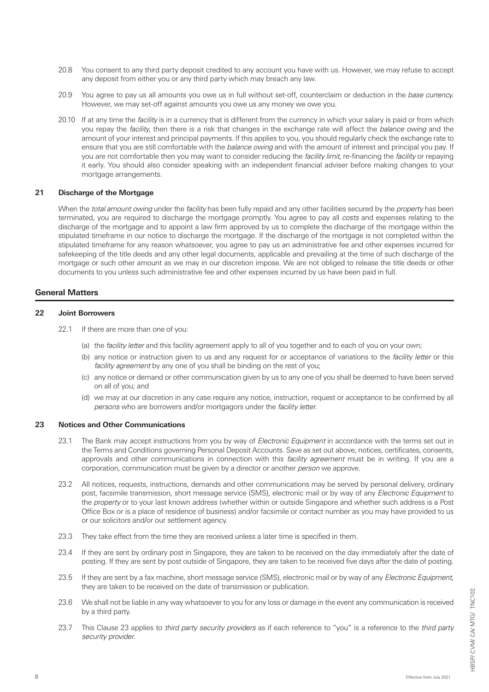- 20.8 You consent to any third party deposit credited to any account you have with us. However, we may refuse to accept any deposit from either you or any third party which may breach any law.
- 20.9 You agree to pay us all amounts you owe us in full without set-off, counterclaim or deduction in the *base currency*. However, we may set-off against amounts you owe us any money we owe you.
- 20.10 If at any time the *facility* is in a currency that is different from the currency in which your salary is paid or from which you repay the *facility*, then there is a risk that changes in the exchange rate will affect the *balance owing* and the amount of your interest and principal payments. If this applies to you, you should regularly check the exchange rate to ensure that you are still comfortable with the *balance owing* and with the amount of interest and principal you pay. If you are not comfortable then you may want to consider reducing the *facility limit*, re-financing the *facility* or repaying it early. You should also consider speaking with an independent financial adviser before making changes to your mortgage arrangements.

# **21 Discharge of the Mortgage**

When the *total amount owing* under the *facility* has been fully repaid and any other facilities secured by the *property* has been terminated, you are required to discharge the mortgage promptly. You agree to pay all *costs* and expenses relating to the discharge of the mortgage and to appoint a law firm approved by us to complete the discharge of the mortgage within the stipulated timeframe in our notice to discharge the mortgage. If the discharge of the mortgage is not completed within the stipulated timeframe for any reason whatsoever, you agree to pay us an administrative fee and other expenses incurred for safekeeping of the title deeds and any other legal documents, applicable and prevailing at the time of such discharge of the mortgage or such other amount as we may in our discretion impose. We are not obliged to release the title deeds or other documents to you unless such administrative fee and other expenses incurred by us have been paid in full.

### **General Matters**

### **22 Joint Borrowers**

- 22.1 If there are more than one of you:
	- (a) the *facility letter* and this facility agreement apply to all of you together and to each of you on your own;
	- (b) any notice or instruction given to us and any request for or acceptance of variations to the *facility letter* or this *facility agreement* by any one of you shall be binding on the rest of you;
	- (c) any notice or demand or other communication given by us to any one of you shall be deemed to have been served on all of you; and
	- (d) we may at our discretion in any case require any notice, instruction, request or acceptance to be confirmed by all *persons* who are borrowers and/or mortgagors under the *facility letter*.

### **23 Notices and Other Communications**

- 23.1 The Bank may accept instructions from you by way of *Electronic Equipment* in accordance with the terms set out in the Terms and Conditions governing Personal Deposit Accounts. Save as set out above, notices, certificates, consents, approvals and other communications in connection with this *facility agreement* must be in writing. If you are a corporation, communication must be given by a director or another *person* we approve.
- 23.2 All notices, requests, instructions, demands and other communications may be served by personal delivery, ordinary post, facsimile transmission, short message service (SMS), electronic mail or by way of any *Electronic Equipment* to the *property* or to your last known address (whether within or outside Singapore and whether such address is a Post Office Box or is a place of residence of business) and/or facsimile or contact number as you may have provided to us or our solicitors and/or our settlement agency.
- 23.3 They take effect from the time they are received unless a later time is specified in them.
- 23.4 If they are sent by ordinary post in Singapore, they are taken to be received on the day immediately after the date of posting. If they are sent by post outside of Singapore, they are taken to be received five days after the date of posting.
- 23.5 If they are sent by a fax machine, short message service (SMS), electronic mail or by way of any *Electronic Equipment*, they are taken to be received on the date of transmission or publication.
- 23.6 We shall not be liable in any way whatsoever to you for any loss or damage in the event any communication is received by a third party.
- 23.7 This Clause 23 applies to *third party security providers* as if each reference to "you" is a reference to the *third party security provider*.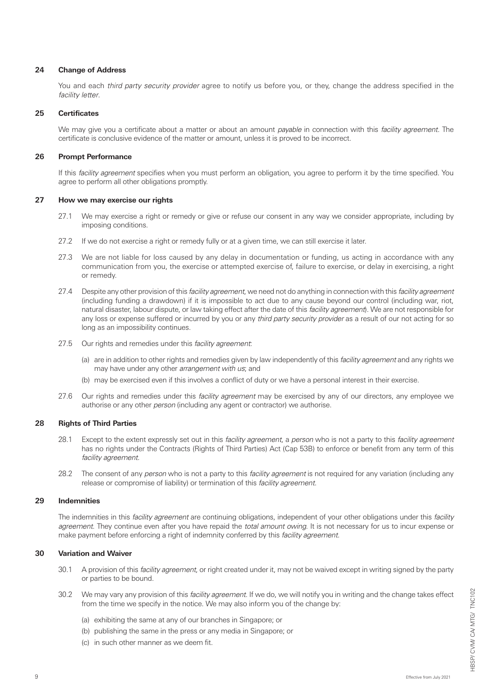### **24 Change of Address**

You and each *third party security provider* agree to notify us before you, or they, change the address specified in the *facility letter*.

### **25 Certificates**

We may give you a certificate about a matter or about an amount *payable* in connection with this *facility agreement*. The certificate is conclusive evidence of the matter or amount, unless it is proved to be incorrect.

### **26 Prompt Performance**

If this *facility agreement* specifies when you must perform an obligation, you agree to perform it by the time specified. You agree to perform all other obligations promptly.

#### **27 How we may exercise our rights**

- 27.1 We may exercise a right or remedy or give or refuse our consent in any way we consider appropriate, including by imposing conditions.
- 27.2 If we do not exercise a right or remedy fully or at a given time, we can still exercise it later.
- 27.3 We are not liable for loss caused by any delay in documentation or funding, us acting in accordance with any communication from you, the exercise or attempted exercise of, failure to exercise, or delay in exercising, a right or remedy.
- 27.4 Despite any other provision of this *facility agreement*, we need not do anything in connection with this *facility agreement*  (including funding a drawdown) if it is impossible to act due to any cause beyond our control (including war, riot, natural disaster, labour dispute, or law taking effect after the date of this *facility agreement*). We are not responsible for any loss or expense suffered or incurred by you or any *third party security provider* as a result of our not acting for so long as an impossibility continues.
- 27.5 Our rights and remedies under this *facility agreement*:
	- (a) are in addition to other rights and remedies given by law independently of this *facility agreement* and any rights we may have under any other *arrangement with us*; and
	- (b) may be exercised even if this involves a conflict of duty or we have a personal interest in their exercise.
- 27.6 Our rights and remedies under this *facility agreement* may be exercised by any of our directors, any employee we authorise or any other *person* (including any agent or contractor) we authorise.

#### **28 Rights of Third Parties**

- 28.1 Except to the extent expressly set out in this *facility agreement*, a *person* who is not a party to this *facility agreement*  has no rights under the Contracts (Rights of Third Parties) Act (Cap 53B) to enforce or benefit from any term of this *facility agreement*.
- 28.2 The consent of any *person* who is not a party to this *facility agreement* is not required for any variation (including any release or compromise of liability) or termination of this *facility agreement*.

### **29 Indemnities**

The indemnities in this *facility agreement* are continuing obligations, independent of your other obligations under this *facility agreement*. They continue even after you have repaid the *total amount owing*. It is not necessary for us to incur expense or make payment before enforcing a right of indemnity conferred by this *facility agreement*.

## **30 Variation and Waiver**

- 30.1 A provision of this *facility agreement*, or right created under it, may not be waived except in writing signed by the party or parties to be bound.
- 30.2 We may vary any provision of this *facility agreement*. If we do, we will notify you in writing and the change takes effect from the time we specify in the notice. We may also inform you of the change by:
	- (a) exhibiting the same at any of our branches in Singapore; or
	- (b) publishing the same in the press or any media in Singapore; or
	- (c) in such other manner as we deem fit.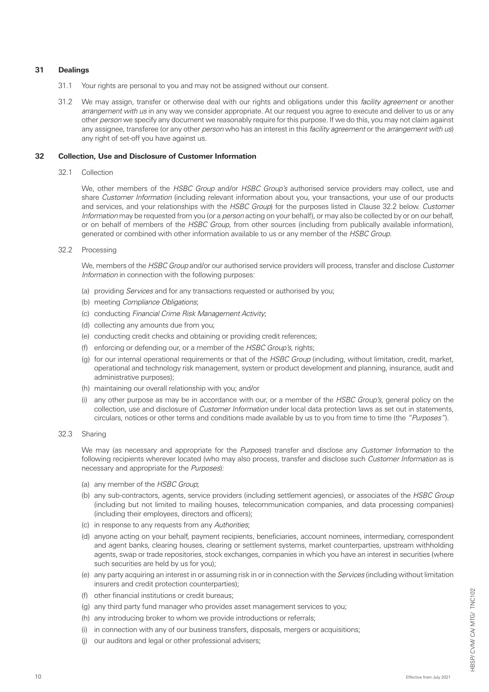## **31 Dealings**

- 31.1 Your rights are personal to you and may not be assigned without our consent.
- 31.2 We may assign, transfer or otherwise deal with our rights and obligations under this *facility agreement* or another *arrangement with us* in any way we consider appropriate. At our request you agree to execute and deliver to us or any other *person* we specify any document we reasonably require for this purpose. If we do this, you may not claim against any assignee, transferee (or any other *person* who has an interest in this *facility agreement* or the *arrangement with us*) any right of set-off you have against us.

### **32 Collection, Use and Disclosure of Customer Information**

32.1 Collection

 We, other members of the *HSBC Group* and/or *HSBC Group's* authorised service providers may collect, use and share *Customer Information* (including relevant information about you, your transactions, your use of our products and services, and your relationships with the *HSBC Group*) for the purposes listed in Clause 32.2 below. *Customer Information* may be requested from you (or a *person* acting on your behalf), or may also be collected by or on our behalf, or on behalf of members of the *HSBC Group*, from other sources (including from publically available information), generated or combined with other information available to us or any member of the *HSBC Group*.

32.2 Processing

 We, members of the *HSBC Group* and/or our authorised service providers will process, transfer and disclose *Customer Information* in connection with the following purposes:

- (a) providing *Services* and for any transactions requested or authorised by you;
- (b) meeting *Compliance Obligations*;
- (c) conducting *Financial Crime Risk Management Activity*;
- (d) collecting any amounts due from you;
- (e) conducting credit checks and obtaining or providing credit references;
- (f) enforcing or defending our, or a member of the *HSBC Group's*, rights;
- (g) for our internal operational requirements or that of the *HSBC Group* (including, without limitation, credit, market, operational and technology risk management, system or product development and planning, insurance, audit and administrative purposes);
- (h) maintaining our overall relationship with you; and/or
- (i) any other purpose as may be in accordance with our, or a member of the *HSBC Group's*, general policy on the collection, use and disclosure of *Customer Information* under local data protection laws as set out in statements, circulars, notices or other terms and conditions made available by us to you from time to time (the *"Purposes"*).
- 32.3 Sharing

 We may (as necessary and appropriate for the *Purposes*) transfer and disclose any *Customer Information* to the following recipients wherever located (who may also process, transfer and disclose such *Customer Information* as is necessary and appropriate for the *Purposes*):

- (a) any member of the *HSBC Group*;
- (b) any sub-contractors, agents, service providers (including settlement agencies), or associates of the *HSBC Group* (including but not limited to mailing houses, telecommunication companies, and data processing companies) (including their employees, directors and officers);
- (c) in response to any requests from any *Authorities*;
- (d) anyone acting on your behalf, payment recipients, beneficiaries, account nominees, intermediary, correspondent and agent banks, clearing houses, clearing or settlement systems, market counterparties, upstream withholding agents, swap or trade repositories, stock exchanges, companies in which you have an interest in securities (where such securities are held by us for you);
- (e) any party acquiring an interest in or assuming risk in or in connection with the *Services* (including without limitation insurers and credit protection counterparties);
- (f) other financial institutions or credit bureaus;
- (g) any third party fund manager who provides asset management services to you;
- (h) any introducing broker to whom we provide introductions or referrals;
- (i) in connection with any of our business transfers, disposals, mergers or acquisitions;
- (j) our auditors and legal or other professional advisers;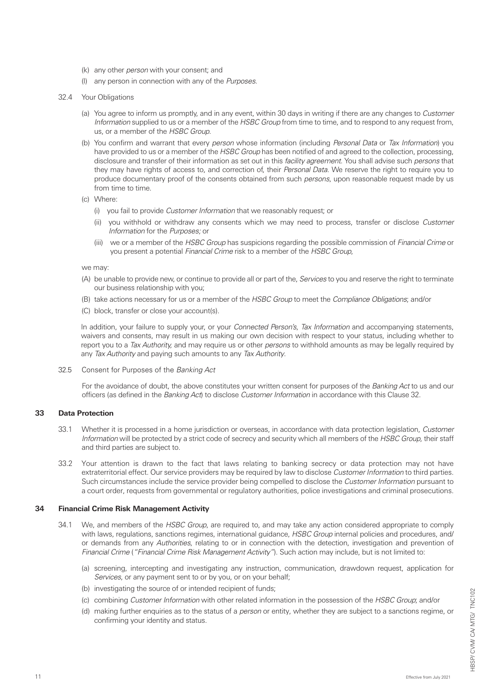- (k) any other *person* with your consent; and
- (l) any person in connection with any of the *Purposes*.
- 32.4 Your Obligations
	- (a) You agree to inform us promptly, and in any event, within 30 days in writing if there are any changes to *Customer Information* supplied to us or a member of the *HSBC Group* from time to time, and to respond to any request from, us, or a member of the *HSBC Group*.
	- (b) You confirm and warrant that every *person* whose information (including *Personal Data* or *Tax Information*) you have provided to us or a member of the *HSBC Group* has been notified of and agreed to the collection, processing, disclosure and transfer of their information as set out in this *facility agreement*. You shall advise such *persons* that they may have rights of access to, and correction of, their *Personal Data*. We reserve the right to require you to produce documentary proof of the consents obtained from such *persons*, upon reasonable request made by us from time to time.
	- (c) Where:
		- (i) you fail to provide *Customer Information* that we reasonably request; or
		- (ii) you withhold or withdraw any consents which we may need to process, transfer or disclose *Customer Information* for the *Purposes;* or
		- (iii) we or a member of the *HSBC Group* has suspicions regarding the possible commission of *Financial Crime* or you present a potential *Financial Crime* risk to a member of the *HSBC Group*,

we may:

- (A) be unable to provide new, or continue to provide all or part of the, *Services* to you and reserve the right to terminate our business relationship with you;
- (B) take actions necessary for us or a member of the *HSBC Group* to meet the *Compliance Obligations*; and/or
- (C) block, transfer or close your account(s).

 In addition, your failure to supply your, or your *Connected Person's*, *Tax Information* and accompanying statements, waivers and consents, may result in us making our own decision with respect to your status, including whether to report you to a *Tax Authority,* and may require us or other *persons* to withhold amounts as may be legally required by any *Tax Authority* and paying such amounts to any *Tax Authority*.

32.5 Consent for Purposes of the *Banking Act*

 For the avoidance of doubt, the above constitutes your written consent for purposes of the *Banking Act* to us and our officers (as defined in the *Banking Act*) to disclose *Customer Information* in accordance with this Clause 32.

### **33 Data Protection**

- 33.1 Whether it is processed in a home jurisdiction or overseas, in accordance with data protection legislation, *Customer Information* will be protected by a strict code of secrecy and security which all members of the *HSBC Group,* their staff and third parties are subject to.
- 33.2 Your attention is drawn to the fact that laws relating to banking secrecy or data protection may not have extraterritorial effect. Our service providers may be required by law to disclose *Customer Information* to third parties. Such circumstances include the service provider being compelled to disclose the *Customer Information* pursuant to a court order, requests from governmental or regulatory authorities, police investigations and criminal prosecutions.

### **34 Financial Crime Risk Management Activity**

- 34.1 We, and members of the *HSBC Group*, are required to, and may take any action considered appropriate to comply with laws, regulations, sanctions regimes, international guidance, *HSBC Group* internal policies and procedures, and/ or demands from any *Authorities*, relating to or in connection with the detection, investigation and prevention of *Financial Crime* (*"Financial Crime Risk Management Activity"*). Such action may include, but is not limited to:
	- (a) screening, intercepting and investigating any instruction, communication, drawdown request, application for *Services*, or any payment sent to or by you, or on your behalf;
	- (b) investigating the source of or intended recipient of funds;
	- (c) combining *Customer Information* with other related information in the possession of the *HSBC Group*; and/or
	- (d) making further enquiries as to the status of a *person* or entity, whether they are subject to a sanctions regime, or confirming your identity and status.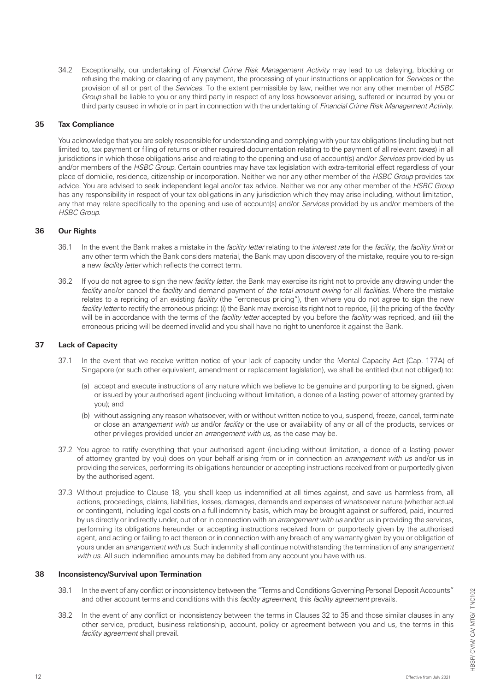34.2 Exceptionally, our undertaking of *Financial Crime Risk Management Activity* may lead to us delaying, blocking or refusing the making or clearing of any payment, the processing of your instructions or application for *Services* or the provision of all or part of the *Services*. To the extent permissible by law, neither we nor any other member of *HSBC Group* shall be liable to you or any third party in respect of any loss howsoever arising, suffered or incurred by you or third party caused in whole or in part in connection with the undertaking of *Financial Crime Risk Management Activity*.

### **35 Tax Compliance**

You acknowledge that you are solely responsible for understanding and complying with your tax obligations (including but not limited to, tax payment or filing of returns or other required documentation relating to the payment of all relevant *taxes*) in all jurisdictions in which those obligations arise and relating to the opening and use of account(s) and/or *Services* provided by us and/or members of the *HSBC Group*. Certain countries may have tax legislation with extra-territorial effect regardless of your place of domicile, residence, citizenship or incorporation. Neither we nor any other member of the *HSBC Group* provides tax advice. You are advised to seek independent legal and/or tax advice. Neither we nor any other member of the *HSBC Group* has any responsibility in respect of your tax obligations in any jurisdiction which they may arise including, without limitation, any that may relate specifically to the opening and use of account(s) and/or *Services* provided by us and/or members of the *HSBC Group*.

#### **36 Our Rights**

- 36.1 In the event the Bank makes a mistake in the *facility letter* relating to the *interest rate* for the *facility*, the *facility limit* or any other term which the Bank considers material, the Bank may upon discovery of the mistake, require you to re-sign a new *facility letter* which reflects the correct term.
- 36.2 If you do not agree to sign the new *facility letter*, the Bank may exercise its right not to provide any drawing under the *facility* and/or cancel the *facility* and demand payment of *the total amount owing* for all *facilities*. Where the mistake relates to a repricing of an existing *facility* (the "erroneous pricing"), then where you do not agree to sign the new *facility letter* to rectify the erroneous pricing: (i) the Bank may exercise its right not to reprice, (ii) the pricing of the *facility* will be in accordance with the terms of the *facility letter* accepted by you before the *facility* was repriced, and (iii) the erroneous pricing will be deemed invalid and you shall have no right to unenforce it against the Bank.

### **37 Lack of Capacity**

- 37.1 In the event that we receive written notice of your lack of capacity under the Mental Capacity Act (Cap. 177A) of Singapore (or such other equivalent, amendment or replacement legislation), we shall be entitled (but not obliged) to:
	- (a) accept and execute instructions of any nature which we believe to be genuine and purporting to be signed, given or issued by your authorised agent (including without limitation, a donee of a lasting power of attorney granted by you); and
	- (b) without assigning any reason whatsoever, with or without written notice to you, suspend, freeze, cancel, terminate or close an *arrangement with us* and/or *facility* or the use or availability of any or all of the products, services or other privileges provided under an *arrangement with us*, as the case may be.
- 37.2 You agree to ratify everything that your authorised agent (including without limitation, a donee of a lasting power of attorney granted by you) does on your behalf arising from or in connection an *arrangement with us* and/or us in providing the services, performing its obligations hereunder or accepting instructions received from or purportedly given by the authorised agent.
- 37.3 Without prejudice to Clause 18, you shall keep us indemnified at all times against, and save us harmless from, all actions, proceedings, claims, liabilities, losses, damages, demands and expenses of whatsoever nature (whether actual or contingent), including legal costs on a full indemnity basis, which may be brought against or suffered, paid, incurred by us directly or indirectly under, out of or in connection with an *arrangement with us* and/or us in providing the services, performing its obligations hereunder or accepting instructions received from or purportedly given by the authorised agent, and acting or failing to act thereon or in connection with any breach of any warranty given by you or obligation of yours under an *arrangement with us*. Such indemnity shall continue notwithstanding the termination of any *arrangement with us*. All such indemnified amounts may be debited from any account you have with us.

#### **38 Inconsistency/Survival upon Termination**

- 38.1 In the event of any conflict or inconsistency between the "Terms and Conditions Governing Personal Deposit Accounts" and other account terms and conditions with this *facility agreement,* this *facility agreement* prevails.
- 38.2 In the event of any conflict or inconsistency between the terms in Clauses 32 to 35 and those similar clauses in any other service, product, business relationship, account, policy or agreement between you and us, the terms in this *facility agreement* shall prevail.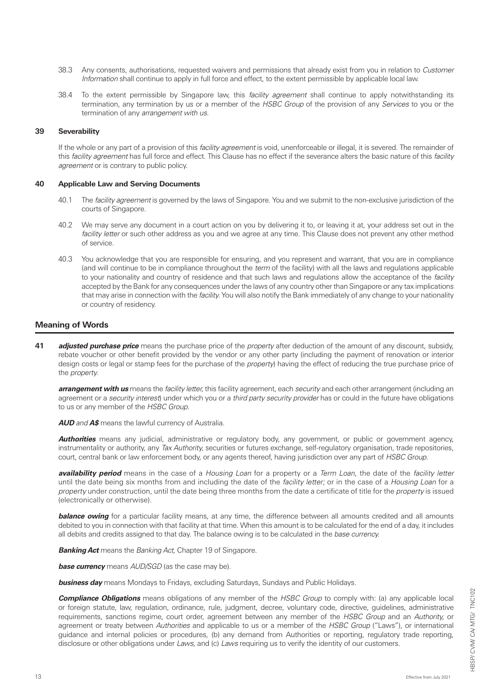- 38.3 Any consents, authorisations, requested waivers and permissions that already exist from you in relation to *Customer Information* shall continue to apply in full force and effect, to the extent permissible by applicable local law.
- 38.4 To the extent permissible by Singapore law, this *facility agreement* shall continue to apply notwithstanding its termination, any termination by us or a member of the *HSBC Group* of the provision of any *Services* to you or the termination of any *arrangement with us*.

#### **39 Severability**

If the whole or any part of a provision of this *facility agreement* is void, unenforceable or illegal, it is severed. The remainder of this *facility agreement* has full force and effect. This Clause has no effect if the severance alters the basic nature of this *facility agreement* or is contrary to public policy.

#### **40 Applicable Law and Serving Documents**

- 40.1 The *facility agreement* is governed by the laws of Singapore. You and we submit to the non-exclusive jurisdiction of the courts of Singapore.
- 40.2 We may serve any document in a court action on you by delivering it to, or leaving it at, your address set out in the *facility letter* or such other address as you and we agree at any time. This Clause does not prevent any other method of service.
- 40.3 You acknowledge that you are responsible for ensuring, and you represent and warrant, that you are in compliance (and will continue to be in compliance throughout the *term* of the facility) with all the laws and regulations applicable to your nationality and country of residence and that such laws and regulations allow the acceptance of the *facility*  accepted by the Bank for any consequences under the laws of any country other than Singapore or any tax implications that may arise in connection with the *facility.* You will also notify the Bank immediately of any change to your nationality or country of residency.

### **Meaning of Words**

**41** *adjusted purchase price* means the purchase price of the *property* after deduction of the amount of any discount, subsidy, rebate voucher or other benefit provided by the vendor or any other party (including the payment of renovation or interior design costs or legal or stamp fees for the purchase of the *property*) having the effect of reducing the true purchase price of the *property.*

*arrangement with us* means the *facility letter,* this facility agreement, each *security* and each other arrangement (including an agreement or a *security interest*) under which you or a *third party security provider* has or could in the future have obligations to us or any member of the *HSBC Group.*

*AUD and A\$* means the lawful currency of Australia.

*Authorities* means any judicial, administrative or regulatory body, any government, or public or government agency, instrumentality or authority, any *Tax Authority,* securities or futures exchange, self-regulatory organisation, trade repositories, court, central bank or law enforcement body, or any agents thereof, having jurisdiction over any part of *HSBC Group.*

*availability period* means in the case of a *Housing Loan* for a property or a *Term Loan*, the date of the *facility letter* until the date being six months from and including the date of the *facility letter;* or in the case of a *Housing Loan* for a *property* under construction, until the date being three months from the date a certificate of title for the *property* is issued (electronically or otherwise).

**balance owing** for a particular facility means, at any time, the difference between all amounts credited and all amounts debited to you in connection with that facility at that time. When this amount is to be calculated for the end of a day, it includes all debits and credits assigned to that day. The balance owing is to be calculated in the *base currency.* 

*Banking Act* means the *Banking Act,* Chapter 19 of Singapore.

*base currency* means *AUD/SGD* (as the case may be).

*business day* means Mondays to Fridays, excluding Saturdays, Sundays and Public Holidays.

*Compliance Obligations* means obligations of any member of the *HSBC Group* to comply with: (a) any applicable local or foreign statute, law, regulation, ordinance, rule, judgment, decree, voluntary code, directive, guidelines, administrative requirements, sanctions regime, court order, agreement between any member of the *HSBC Group* and an *Authority,* or agreement or treaty between *Authorities* and applicable to us or a member of the *HSBC Group* ("Laws"), or international guidance and internal policies or procedures, (b) any demand from Authorities or reporting, regulatory trade reporting, disclosure or other obligations under *Laws,* and (c) *Laws* requiring us to verify the identity of our customers.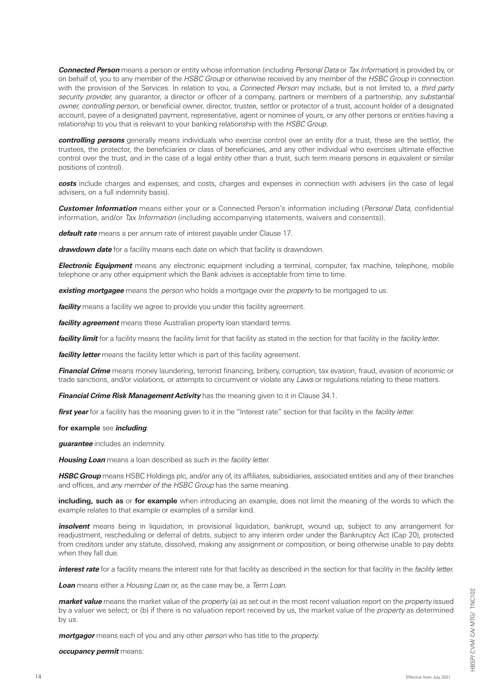*Connected Person* means a person or entity whose information (including *Personal Data* or *Tax Information*) is provided by, or on behalf of, you to any member of the *HSBC Group* or otherwise received by any member of the *HSBC Group* in connection with the provision of the Services. In relation to you, a *Connected Person* may include, but is not limited to, a *third party security provider,* any guarantor, a director or officer of a company, partners or members of a partnership, any *substantial owner, controlling person,* or beneficial owner, director, trustee, settlor or protector of a trust, account holder of a designated account, payee of a designated payment, representative, agent or nominee of yours, or any other persons or entities having a relationship to you that is relevant to your banking relationship with the *HSBC Group.*

*controlling persons* generally means individuals who exercise control over an entity (for a trust, these are the settlor, the trustees, the protector, the beneficiaries or class of beneficiaries, and any other individual who exercises ultimate effective control over the trust, and in the case of a legal entity other than a trust, such term means persons in equivalent or similar positions of control).

**costs** include charges and expenses; and costs, charges and expenses in connection with advisers (in the case of legal advisers, on a full indemnity basis).

*Customer Information* means either your or a Connected Person's information including (*Personal Data,* confidential information, and/or *Tax Information* (including accompanying statements, waivers and consents)).

*default rate* means a per annum rate of interest payable under Clause 17.

*drawdown date* for a facility means each date on which that facility is drawndown.

*Electronic Equipment* means any electronic equipment including a terminal, computer, fax machine, telephone, mobile telephone or any other equipment which the Bank advises is acceptable from time to time.

*existing mortgagee* means the *person* who holds a mortgage over the *property* to be mortgaged to us.

*facility* means a facility we agree to provide you under this facility agreement.

*facility agreement* means these Australian property loan standard terms.

*facility limit* for a facility means the facility limit for that facility as stated in the section for that facility in the *facility letter.*

**facility letter** means the facility letter which is part of this facility agreement.

*Financial Crime* means money laundering, terrorist financing, bribery, corruption, tax evasion, fraud, evasion of economic or trade sanctions, and/or violations, or attempts to circumvent or violate any *Laws* or regulations relating to these matters.

*Financial Crime Risk Management Activity* has the meaning given to it in Clause 34.1.

*first year* for a facility has the meaning given to it in the "Interest rate" section for that facility in the *facility letter.*

#### **for example** see *including*.

*guarantee* includes an indemnity.

*Housing Loan* means a loan described as such in the *facility letter.*

*HSBC Group* means HSBC Holdings plc, and/or any of, its affiliates, subsidiaries, associated entities and any of their branches and offices, and *any member of the HSBC Group* has the same meaning.

**including, such as** or **for example** when introducing an example, does not limit the meaning of the words to which the example relates to that example or examples of a similar kind.

*insolvent* means being in liquidation, in provisional liquidation, bankrupt, wound up, subject to any arrangement for readjustment, rescheduling or deferral of debts, subject to any interim order under the Bankruptcy Act (Cap 20), protected from creditors under any statute, dissolved, making any assignment or composition, or being otherwise unable to pay debts when they fall due.

*interest rate* for a facility means the interest rate for that facility as described in the section for that facility in the *facility letter.*

*Loan* means either a *Housing Loan* or, as the case may be, a *Term Loan.*

*market value* means the market value of the *property* (a) as set out in the most recent valuation report on the *property* issued by a valuer we select; or (b) if there is no valuation report received by us, the market value of the *property* as determined by us.

*mortgagor* means each of you and any other *person* who has title to the *property.*

*occupancy permit* means: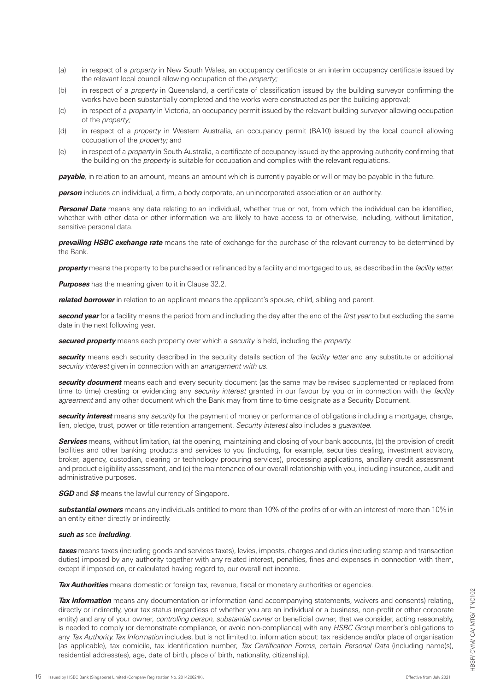- (a) in respect of a *property* in New South Wales, an occupancy certificate or an interim occupancy certificate issued by the relevant local council allowing occupation of the *property;*
- (b) in respect of a *property* in Queensland, a certificate of classification issued by the building surveyor confirming the works have been substantially completed and the works were constructed as per the building approval;
- (c) in respect of a *property* in Victoria, an occupancy permit issued by the relevant building surveyor allowing occupation of the *property;*
- (d) in respect of a *property* in Western Australia, an occupancy permit (BA10) issued by the local council allowing occupation of the *property;* and
- (e) in respect of a *property* in South Australia, a certificate of occupancy issued by the approving authority confirming that the building on the *property* is suitable for occupation and complies with the relevant regulations.

*payable*, in relation to an amount, means an amount which is currently payable or will or may be payable in the future.

**person** includes an individual, a firm, a body corporate, an unincorporated association or an authority.

*Personal Data* means any data relating to an individual, whether true or not, from which the individual can be identified, whether with other data or other information we are likely to have access to or otherwise, including, without limitation, sensitive personal data.

*prevailing HSBC exchange rate* means the rate of exchange for the purchase of the relevant currency to be determined by the Bank.

*property* means the property to be purchased or refinanced by a facility and mortgaged to us, as described in the *facility letter.*

*Purposes* has the meaning given to it in Clause 32.2.

*related borrower* in relation to an applicant means the applicant's spouse, child, sibling and parent.

*second year* for a facility means the period from and including the day after the end of the *first year* to but excluding the same date in the next following year.

*secured property* means each property over which a *security* is held, including the *property.*

*security* means each security described in the security details section of the *facility letter* and any substitute or additional *security interest* given in connection with an *arrangement with us.*

*security document* means each and every security document (as the same may be revised supplemented or replaced from time to time) creating or evidencing any *security interest* granted in our favour by you or in connection with the *facility*  agreement and any other document which the Bank may from time to time designate as a Security Document.

*security interest* means any *security* for the payment of money or performance of obligations including a mortgage, charge, lien, pledge, trust, power or title retention arrangement. *Security interest* also includes a *guarantee.*

**Services** means, without limitation, (a) the opening, maintaining and closing of your bank accounts, (b) the provision of credit facilities and other banking products and services to you (including, for example, securities dealing, investment advisory, broker, agency, custodian, clearing or technology procuring services), processing applications, ancillary credit assessment and product eligibility assessment, and (c) the maintenance of our overall relationship with you, including insurance, audit and administrative purposes.

*SGD* and *S\$* means the lawful currency of Singapore.

*substantial owners* means any individuals entitled to more than 10% of the profits of or with an interest of more than 10% in an entity either directly or indirectly.

#### *such as* see *including*.

*taxes* means taxes (including goods and services taxes), levies, imposts, charges and duties (including stamp and transaction duties) imposed by any authority together with any related interest, penalties, fines and expenses in connection with them, except if imposed on, or calculated having regard to, our overall net income.

**Tax Authorities** means domestic or foreign tax, revenue, fiscal or monetary authorities or agencies.

*Tax Information* means any documentation or information (and accompanying statements, waivers and consents) relating, directly or indirectly, your tax status (regardless of whether you are an individual or a business, non-profit or other corporate entity) and any of your owner, *controlling person, substantial owner* or beneficial owner, that we consider, acting reasonably, is needed to comply (or demonstrate compliance, or avoid non-compliance) with any *HSBC Group* member's obligations to any *Tax Authority. Tax Information* includes, but is not limited to, information about: tax residence and/or place of organisation (as applicable), tax domicile, tax identification number, *Tax Certification Forms,* certain *Personal Data* (including name(s), residential address(es), age, date of birth, place of birth, nationality, citizenship).